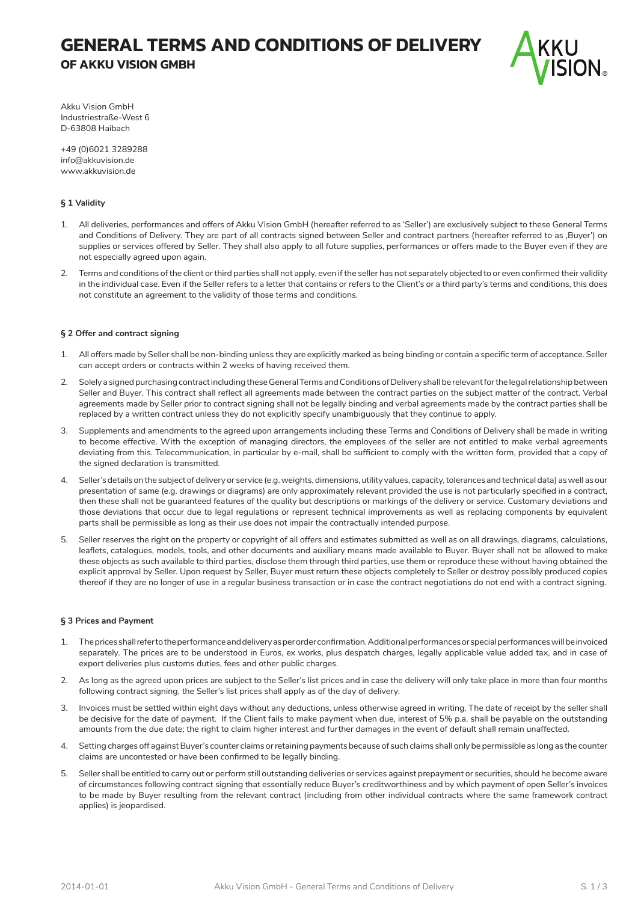# **GENERAL TERMS AND CONDITIONS OF DELIVERY OF AKKU VISION GMBH**



Akku Vision GmbH Industriestraße-West 6 D-63808 Haibach

+49 (0)6021 3289288 info@akkuvision.de www.akkuvision.de

# **§ 1 Validity**

- 1. All deliveries, performances and offers of Akku Vision GmbH (hereafter referred to as 'Seller') are exclusively subject to these General Terms and Conditions of Delivery. They are part of all contracts signed between Seller and contract partners (hereafter referred to as 'Buyer') on supplies or services offered by Seller. They shall also apply to all future supplies, performances or offers made to the Buyer even if they are not especially agreed upon again.
- 2. Terms and conditions of the client or third parties shall not apply, even if the seller has not separately objected to or even confirmed their validity in the individual case. Even if the Seller refers to a letter that contains or refers to the Client's or a third party's terms and conditions, this does not constitute an agreement to the validity of those terms and conditions.

### **§ 2 Offer and contract signing**

- 1. All offers made by Seller shall be non-binding unless they are explicitly marked as being binding or contain a specific term of acceptance. Seller can accept orders or contracts within 2 weeks of having received them.
- 2. Solely a signed purchasing contract including these General Terms and Conditions of Delivery shall be relevant for the legal relationship between Seller and Buyer. This contract shall reflect all agreements made between the contract parties on the subject matter of the contract. Verbal agreements made by Seller prior to contract signing shall not be legally binding and verbal agreements made by the contract parties shall be replaced by a written contract unless they do not explicitly specify unambiguously that they continue to apply.
- 3. Supplements and amendments to the agreed upon arrangements including these Terms and Conditions of Delivery shall be made in writing to become effective. With the exception of managing directors, the employees of the seller are not entitled to make verbal agreements deviating from this. Telecommunication, in particular by e-mail, shall be sufficient to comply with the written form, provided that a copy of the signed declaration is transmitted.
- 4. Seller's details on the subject of delivery or service (e.g. weights, dimensions, utility values, capacity, tolerances and technical data) as well as our presentation of same (e.g. drawings or diagrams) are only approximately relevant provided the use is not particularly specified in a contract, then these shall not be guaranteed features of the quality but descriptions or markings of the delivery or service. Customary deviations and those deviations that occur due to legal regulations or represent technical improvements as well as replacing components by equivalent parts shall be permissible as long as their use does not impair the contractually intended purpose.
- 5. Seller reserves the right on the property or copyright of all offers and estimates submitted as well as on all drawings, diagrams, calculations, leaflets, catalogues, models, tools, and other documents and auxiliary means made available to Buyer. Buyer shall not be allowed to make these objects as such available to third parties, disclose them through third parties, use them or reproduce these without having obtained the explicit approval by Seller. Upon request by Seller, Buyer must return these objects completely to Seller or destroy possibly produced copies thereof if they are no longer of use in a regular business transaction or in case the contract negotiations do not end with a contract signing.

# **§ 3 Prices and Payment**

- 1. The prices shall refer to the performance and delivery as per order confirmation. Additional performances or special performances will be invoiced separately. The prices are to be understood in Euros, ex works, plus despatch charges, legally applicable value added tax, and in case of export deliveries plus customs duties, fees and other public charges.
- 2. As long as the agreed upon prices are subject to the Seller's list prices and in case the delivery will only take place in more than four months following contract signing, the Seller's list prices shall apply as of the day of delivery.
- 3. Invoices must be settled within eight days without any deductions, unless otherwise agreed in writing. The date of receipt by the seller shall be decisive for the date of payment. If the Client fails to make payment when due, interest of 5% p.a. shall be payable on the outstanding amounts from the due date; the right to claim higher interest and further damages in the event of default shall remain unaffected.
- 4. Setting charges off against Buyer's counter claims or retaining payments because of such claims shall only be permissible as long as the counter claims are uncontested or have been confirmed to be legally binding.
- 5. Seller shall be entitled to carry out or perform still outstanding deliveries or services against prepayment or securities, should he become aware of circumstances following contract signing that essentially reduce Buyer's creditworthiness and by which payment of open Seller's invoices to be made by Buyer resulting from the relevant contract (including from other individual contracts where the same framework contract applies) is jeopardised.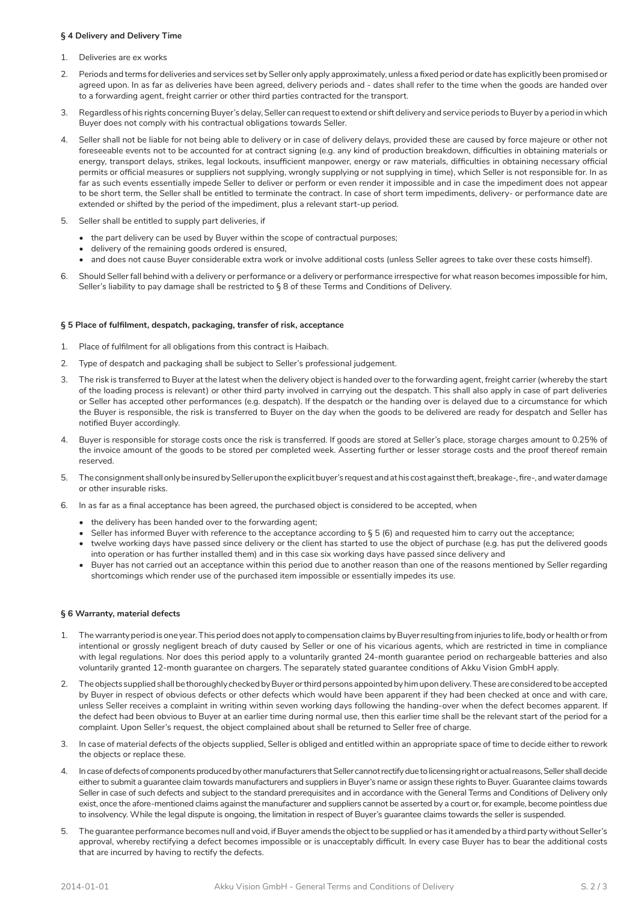#### **§ 4 Delivery and Delivery Time**

- 1. Deliveries are ex works
- 2. Periods and terms for deliveries and services set by Seller only apply approximately, unless a fixed period or date has explicitly been promised or agreed upon. In as far as deliveries have been agreed, delivery periods and - dates shall refer to the time when the goods are handed over to a forwarding agent, freight carrier or other third parties contracted for the transport.
- 3. Regardless of his rights concerning Buyer's delay, Seller can request to extend or shift delivery and service periods to Buyer by a period in which Buyer does not comply with his contractual obligations towards Seller.
- 4. Seller shall not be liable for not being able to delivery or in case of delivery delays, provided these are caused by force majeure or other not foreseeable events not to be accounted for at contract signing (e.g. any kind of production breakdown, difficulties in obtaining materials or energy, transport delays, strikes, legal lockouts, insufficient manpower, energy or raw materials, difficulties in obtaining necessary official permits or official measures or suppliers not supplying, wrongly supplying or not supplying in time), which Seller is not responsible for. In as far as such events essentially impede Seller to deliver or perform or even render it impossible and in case the impediment does not appear to be short term, the Seller shall be entitled to terminate the contract. In case of short term impediments, delivery- or performance date are extended or shifted by the period of the impediment, plus a relevant start-up period.
- 5. Seller shall be entitled to supply part deliveries, if
	- the part delivery can be used by Buyer within the scope of contractual purposes;
	- delivery of the remaining goods ordered is ensured,
	- and does not cause Buyer considerable extra work or involve additional costs (unless Seller agrees to take over these costs himself).
- 6. Should Seller fall behind with a delivery or performance or a delivery or performance irrespective for what reason becomes impossible for him, Seller's liability to pay damage shall be restricted to § 8 of these Terms and Conditions of Delivery.

### **§ 5 Place of fulfilment, despatch, packaging, transfer of risk, acceptance**

- 1. Place of fulfilment for all obligations from this contract is Haibach.
- 2. Type of despatch and packaging shall be subject to Seller's professional judgement.
- 3. The risk is transferred to Buyer at the latest when the delivery object is handed over to the forwarding agent, freight carrier (whereby the start of the loading process is relevant) or other third party involved in carrying out the despatch. This shall also apply in case of part deliveries or Seller has accepted other performances (e.g. despatch). If the despatch or the handing over is delayed due to a circumstance for which the Buyer is responsible, the risk is transferred to Buyer on the day when the goods to be delivered are ready for despatch and Seller has notified Buyer accordingly.
- 4. Buyer is responsible for storage costs once the risk is transferred. If goods are stored at Seller's place, storage charges amount to 0.25% of the invoice amount of the goods to be stored per completed week. Asserting further or lesser storage costs and the proof thereof remain reserved.
- 5. The consignment shall only be insured by Seller upon the explicit buyer's request and at his cost against theft, breakage-, fire-, and water damage or other insurable risks.
- 6. In as far as a final acceptance has been agreed, the purchased object is considered to be accepted, when
	- the delivery has been handed over to the forwarding agent;
	- Seller has informed Buyer with reference to the acceptance according to § 5 (6) and requested him to carry out the acceptance;
	- twelve working days have passed since delivery or the client has started to use the object of purchase (e.g. has put the delivered goods into operation or has further installed them) and in this case six working days have passed since delivery and
	- Buyer has not carried out an acceptance within this period due to another reason than one of the reasons mentioned by Seller regarding shortcomings which render use of the purchased item impossible or essentially impedes its use.

#### **§ 6 Warranty, material defects**

- 1. The warranty period is one year. This period does not apply to compensation claims by Buyer resulting from injuries to life, body or health or from intentional or grossly negligent breach of duty caused by Seller or one of his vicarious agents, which are restricted in time in compliance with legal regulations. Nor does this period apply to a voluntarily granted 24-month guarantee period on rechargeable batteries and also voluntarily granted 12-month guarantee on chargers. The separately stated guarantee conditions of Akku Vision GmbH apply.
- 2. The objects supplied shall be thoroughly checked by Buyer or third persons appointed by him upon delivery. These are considered to be accepted by Buyer in respect of obvious defects or other defects which would have been apparent if they had been checked at once and with care, unless Seller receives a complaint in writing within seven working days following the handing-over when the defect becomes apparent. If the defect had been obvious to Buyer at an earlier time during normal use, then this earlier time shall be the relevant start of the period for a complaint. Upon Seller's request, the object complained about shall be returned to Seller free of charge.
- 3. In case of material defects of the objects supplied, Seller is obliged and entitled within an appropriate space of time to decide either to rework the objects or replace these.
- 4. In case of defects of components produced by other manufacturers that Seller cannot rectify due to licensing right or actual reasons, Seller shall decide either to submit a guarantee claim towards manufacturers and suppliers in Buyer's name or assign these rights to Buyer. Guarantee claims towards Seller in case of such defects and subject to the standard prerequisites and in accordance with the General Terms and Conditions of Delivery only exist, once the afore-mentioned claims against the manufacturer and suppliers cannot be asserted by a court or, for example, become pointless due to insolvency. While the legal dispute is ongoing, the limitation in respect of Buyer's guarantee claims towards the seller is suspended.
- 5. The guarantee performance becomes null and void, if Buyer amends the object to be supplied or has it amended by a third party without Seller's approval, whereby rectifying a defect becomes impossible or is unacceptably difficult. In every case Buyer has to bear the additional costs that are incurred by having to rectify the defects.